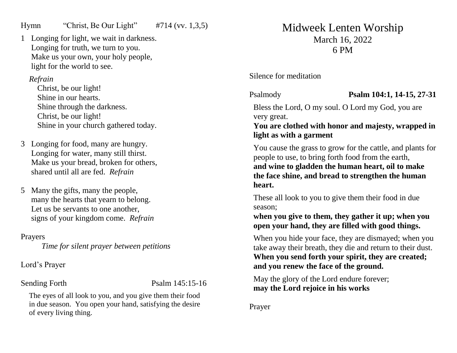## Hymn "Christ, Be Our Light" #714 (vv. 1,3,5)

1 Longing for light, we wait in darkness. Longing for truth, we turn to you. Make us your own, your holy people, light for the world to see.

### *Refrain*

Christ, be our light! Shine in our hearts. Shine through the darkness. Christ, be our light! Shine in your church gathered today.

- 3 Longing for food, many are hungry. Longing for water, many still thirst. Make us your bread, broken for others, shared until all are fed. *Refrain*
- 5 Many the gifts, many the people, many the hearts that yearn to belong. Let us be servants to one another, signs of your kingdom come. *Refrain*

Prayers

*Time for silent prayer between petitions*

Lord's Prayer

Sending Forth Psalm 145:15-16

The eyes of all look to you, and you give them their food in due season. You open your hand, satisfying the desire of every living thing.

# Midweek Lenten Worship March 16, 2022 6 PM

Silence for meditation

Psalmody **Psalm 104:1, 14-15, 27-31**

Bless the Lord, O my soul. O Lord my God, you are very great.

**You are clothed with honor and majesty, wrapped in light as with a garment**

You cause the grass to grow for the cattle, and plants for people to use, to bring forth food from the earth, **and wine to gladden the human heart, oil to make the face shine, and bread to strengthen the human heart.**

These all look to you to give them their food in due season;

**when you give to them, they gather it up; when you open your hand, they are filled with good things.**

When you hide your face, they are dismayed; when you take away their breath, they die and return to their dust. **When you send forth your spirit, they are created; and you renew the face of the ground.**

May the glory of the Lord endure forever; **may the Lord rejoice in his works**

Prayer